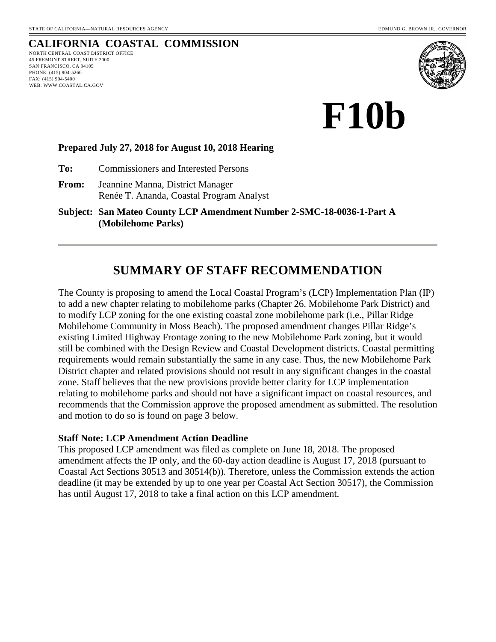# **CALIFORNIA COASTAL COMMISSION**

NORTH CENTRAL COAST DISTRICT OFFICE 45 FREMONT STREET, SUITE 2000 SAN FRANCISCO, CA 94105 PHONE: (415) 904-5260 FAX: (415) 904-5400 WEB: WWW.COASTAL.CA.GOV



**F10b** 

#### **Prepared July 27, 2018 for August 10, 2018 Hearing**

**To:** Commissioners and Interested Persons

**From:** Jeannine Manna, District Manager Renée T. Ananda, Coastal Program Analyst

**Subject: San Mateo County LCP Amendment Number 2-SMC-18-0036-1-Part A (Mobilehome Parks)**

# **SUMMARY OF STAFF RECOMMENDATION**

The County is proposing to amend the Local Coastal Program's (LCP) Implementation Plan (IP) to add a new chapter relating to mobilehome parks (Chapter 26. Mobilehome Park District) and to modify LCP zoning for the one existing coastal zone mobilehome park (i.e., Pillar Ridge Mobilehome Community in Moss Beach). The proposed amendment changes Pillar Ridge's existing Limited Highway Frontage zoning to the new Mobilehome Park zoning, but it would still be combined with the Design Review and Coastal Development districts. Coastal permitting requirements would remain substantially the same in any case. Thus, the new Mobilehome Park District chapter and related provisions should not result in any significant changes in the coastal zone. Staff believes that the new provisions provide better clarity for LCP implementation relating to mobilehome parks and should not have a significant impact on coastal resources, and recommends that the Commission approve the proposed amendment as submitted. The resolution and motion to do so is found on page 3 below.

#### **Staff Note: LCP Amendment Action Deadline**

This proposed LCP amendment was filed as complete on June 18, 2018. The proposed amendment affects the IP only, and the 60-day action deadline is August 17, 2018 (pursuant to Coastal Act Sections 30513 and 30514(b)). Therefore, unless the Commission extends the action deadline (it may be extended by up to one year per Coastal Act Section 30517), the Commission has until August 17, 2018 to take a final action on this LCP amendment.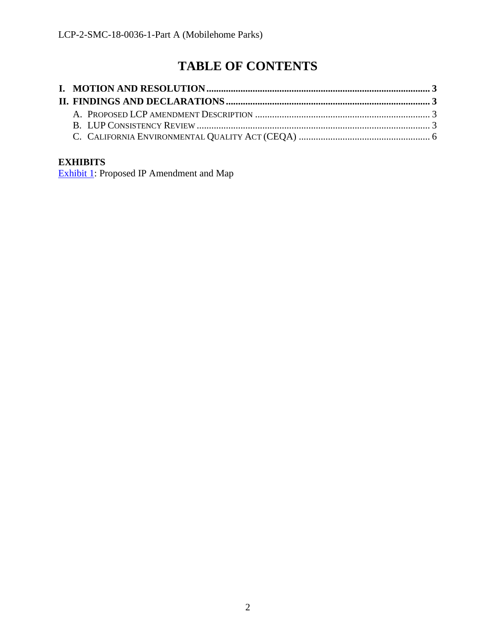# **TABLE OF CONTENTS**

### **EXHIBITS**

[Exhibit 1:](https://documents.coastal.ca.gov/reports/2018/8/f10b/f10b-8-2018-exhibits.pdf) Proposed IP Amendment and Map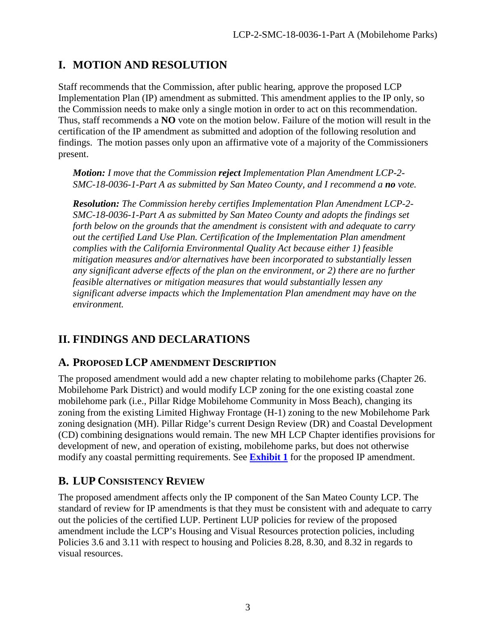# <span id="page-2-0"></span>**I. MOTION AND RESOLUTION**

Staff recommends that the Commission, after public hearing, approve the proposed LCP Implementation Plan (IP) amendment as submitted. This amendment applies to the IP only, so the Commission needs to make only a single motion in order to act on this recommendation. Thus, staff recommends a **NO** vote on the motion below. Failure of the motion will result in the certification of the IP amendment as submitted and adoption of the following resolution and findings. The motion passes only upon an affirmative vote of a majority of the Commissioners present.

*Motion: I move that the Commission reject Implementation Plan Amendment LCP-2- SMC-18-0036-1-Part A as submitted by San Mateo County, and I recommend a no vote.*

*Resolution: The Commission hereby certifies Implementation Plan Amendment LCP-2- SMC-18-0036-1-Part A as submitted by San Mateo County and adopts the findings set forth below on the grounds that the amendment is consistent with and adequate to carry out the certified Land Use Plan. Certification of the Implementation Plan amendment complies with the California Environmental Quality Act because either 1) feasible mitigation measures and/or alternatives have been incorporated to substantially lessen any significant adverse effects of the plan on the environment, or 2) there are no further feasible alternatives or mitigation measures that would substantially lessen any significant adverse impacts which the Implementation Plan amendment may have on the environment.* 

# <span id="page-2-1"></span>**II. FINDINGS AND DECLARATIONS**

### <span id="page-2-2"></span>**A. PROPOSED LCP AMENDMENT DESCRIPTION**

The proposed amendment would add a new chapter relating to mobilehome parks (Chapter 26. Mobilehome Park District) and would modify LCP zoning for the one existing coastal zone mobilehome park (i.e., Pillar Ridge Mobilehome Community in Moss Beach), changing its zoning from the existing Limited Highway Frontage (H-1) zoning to the new Mobilehome Park zoning designation (MH). Pillar Ridge's current Design Review (DR) and Coastal Development (CD) combining designations would remain. The new MH LCP Chapter identifies provisions for development of new, and operation of existing, mobilehome parks, but does not otherwise modify any coastal permitting requirements. See **[Exhibit 1](https://documents.coastal.ca.gov/reports/2018/8/f10b/f10b-8-2018-exhibits.pdf)** for the proposed IP amendment.

## <span id="page-2-3"></span>**B. LUP CONSISTENCY REVIEW**

The proposed amendment affects only the IP component of the San Mateo County LCP. The standard of review for IP amendments is that they must be consistent with and adequate to carry out the policies of the certified LUP. Pertinent LUP policies for review of the proposed amendment include the LCP's Housing and Visual Resources protection policies, including Policies 3.6 and 3.11 with respect to housing and Policies 8.28, 8.30, and 8.32 in regards to visual resources.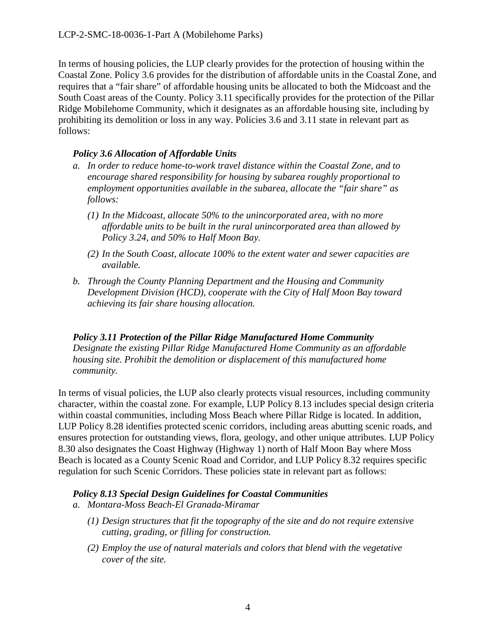In terms of housing policies, the LUP clearly provides for the protection of housing within the Coastal Zone. Policy 3.6 provides for the distribution of affordable units in the Coastal Zone, and requires that a "fair share" of affordable housing units be allocated to both the Midcoast and the South Coast areas of the County. Policy 3.11 specifically provides for the protection of the Pillar Ridge Mobilehome Community, which it designates as an affordable housing site, including by prohibiting its demolition or loss in any way. Policies 3.6 and 3.11 state in relevant part as follows:

#### *Policy 3.6 Allocation of Affordable Units*

- *a. In order to reduce home-to-work travel distance within the Coastal Zone, and to encourage shared responsibility for housing by subarea roughly proportional to employment opportunities available in the subarea, allocate the "fair share" as follows:*
	- *(1) In the Midcoast, allocate 50% to the unincorporated area, with no more affordable units to be built in the rural unincorporated area than allowed by Policy 3.24, and 50% to Half Moon Bay.*
	- *(2) In the South Coast, allocate 100% to the extent water and sewer capacities are available.*
- *b. Through the County Planning Department and the Housing and Community Development Division (HCD), cooperate with the City of Half Moon Bay toward achieving its fair share housing allocation.*

*Policy 3.11 Protection of the Pillar Ridge Manufactured Home Community Designate the existing Pillar Ridge Manufactured Home Community as an affordable housing site. Prohibit the demolition or displacement of this manufactured home community.* 

In terms of visual policies, the LUP also clearly protects visual resources, including community character, within the coastal zone. For example, LUP Policy 8.13 includes special design criteria within coastal communities, including Moss Beach where Pillar Ridge is located. In addition, LUP Policy 8.28 identifies protected scenic corridors, including areas abutting scenic roads, and ensures protection for outstanding views, flora, geology, and other unique attributes. LUP Policy 8.30 also designates the Coast Highway (Highway 1) north of Half Moon Bay where Moss Beach is located as a County Scenic Road and Corridor, and LUP Policy 8.32 requires specific regulation for such Scenic Corridors. These policies state in relevant part as follows:

#### *Policy 8.13 Special Design Guidelines for Coastal Communities*

- *a. Montara-Moss Beach-El Granada-Miramar* 
	- *(1) Design structures that fit the topography of the site and do not require extensive cutting, grading, or filling for construction.*
	- *(2) Employ the use of natural materials and colors that blend with the vegetative cover of the site.*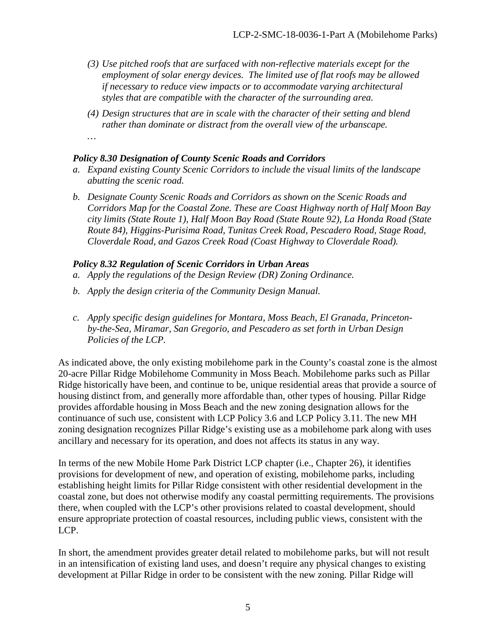- *(3) Use pitched roofs that are surfaced with non-reflective materials except for the employment of solar energy devices. The limited use of flat roofs may be allowed if necessary to reduce view impacts or to accommodate varying architectural styles that are compatible with the character of the surrounding area.*
- *(4) Design structures that are in scale with the character of their setting and blend rather than dominate or distract from the overall view of the urbanscape.*
- *…*

#### *Policy 8.30 Designation of County Scenic Roads and Corridors*

- *a. Expand existing County Scenic Corridors to include the visual limits of the landscape abutting the scenic road.*
- *b. Designate County Scenic Roads and Corridors as shown on the Scenic Roads and Corridors Map for the Coastal Zone. These are Coast Highway north of Half Moon Bay city limits (State Route 1), Half Moon Bay Road (State Route 92), La Honda Road (State Route 84), Higgins-Purisima Road, Tunitas Creek Road, Pescadero Road, Stage Road, Cloverdale Road, and Gazos Creek Road (Coast Highway to Cloverdale Road).*

#### *Policy 8.32 Regulation of Scenic Corridors in Urban Areas*

- *a. Apply the regulations of the Design Review (DR) Zoning Ordinance.*
- *b. Apply the design criteria of the Community Design Manual.*
- *c. Apply specific design guidelines for Montara, Moss Beach, El Granada, Princetonby-the-Sea, Miramar, San Gregorio, and Pescadero as set forth in Urban Design Policies of the LCP.*

As indicated above, the only existing mobilehome park in the County's coastal zone is the almost 20-acre Pillar Ridge Mobilehome Community in Moss Beach. Mobilehome parks such as Pillar Ridge historically have been, and continue to be, unique residential areas that provide a source of housing distinct from, and generally more affordable than, other types of housing. Pillar Ridge provides affordable housing in Moss Beach and the new zoning designation allows for the continuance of such use, consistent with LCP Policy 3.6 and LCP Policy 3.11. The new MH zoning designation recognizes Pillar Ridge's existing use as a mobilehome park along with uses ancillary and necessary for its operation, and does not affects its status in any way.

In terms of the new Mobile Home Park District LCP chapter (i.e., Chapter 26), it identifies provisions for development of new, and operation of existing, mobilehome parks, including establishing height limits for Pillar Ridge consistent with other residential development in the coastal zone, but does not otherwise modify any coastal permitting requirements. The provisions there, when coupled with the LCP's other provisions related to coastal development, should ensure appropriate protection of coastal resources, including public views, consistent with the LCP.

In short, the amendment provides greater detail related to mobilehome parks, but will not result in an intensification of existing land uses, and doesn't require any physical changes to existing development at Pillar Ridge in order to be consistent with the new zoning. Pillar Ridge will